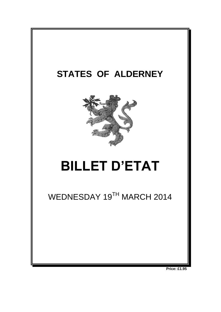

**Price: £1.95**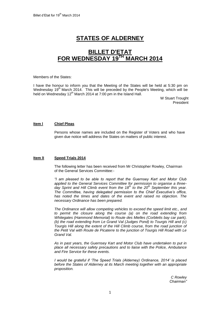# **STATES OF ALDERNEY**

# **BILLET D'ETAT FOR WEDNESDAY 19 TH MARCH 2014**

#### Members of the States:

I have the honour to inform you that the Meeting of the States will be held at 5:30 pm on Wednesday 19<sup>th</sup> March 2014. This will be preceded by the People's Meeting, which will be held on Wednesday 12<sup>th</sup> March 2014 at 7:00 pm in the Island Hall.

> W Stuart Trought President

# **Item l Chief Pleas**

Persons whose names are included on the Register of Voters and who have given due notice will address the States on matters of public interest.

## **Item lI Speed Trials 2014**

The following letter has been received from Mr Christopher Rowley, Chairman of the General Services Committee:-

*"I am pleased to be able to report that the Guernsey Kart and Motor Club applied to the General Services Committee for permission to organise a threeday Sprint and Hill Climb event from the 18th to the 20th September this year. The Committee, having delegated permission to the Chief Executive's office, has noted the times and dates of the event and raised no objection. The necessary Ordinance has been prepared.*

*The Ordinance will allow competing vehicles to exceed the speed limit etc., and to permit the closure along the course (a) on the road extending from Whitegates (Hammond Memorial) to Route des Mielles (Corbletts bay car park), (b) the road extending from Le Grand Val (Judges Pond) to Tourgis Hill and (c) Tourgis Hill along the extent of the Hill Climb course, from the road junction of the Petit Val with Route de Picaterre to the junction of Tourgis Hill Road with Le Grand Val.*

*As in past years, the Guernsey Kart and Motor Club have undertaken to put in place all necessary safety precautions and to liaise with the Police, Ambulance and Fire Service for these events.*

*I would be grateful if 'The Speed Trials (Alderney) Ordinance, 2014' is placed before the States of Alderney at its March meeting together with an appropriate proposition.*

> *C Rowley Chairman"*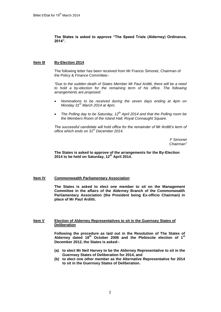# **The States is asked to approve "The Speed Trials (Alderney) Ordinance, 2014".**

# **Item lII By-Election 2014**

The following letter has been received from Mr Francis Simonet, Chairman of the Policy & Finance Committee:-

*"Due to the sudden death of States Member Mr Paul Arditti, there will be a need*  to hold a by-election for the remaining term of his office. The following *arrangements are proposed:*

- *Nominations to be received during the seven days ending at 4pm on Monday 31st March 2014 at 4pm;*
- *The Polling day to be Saturday, 12th April 2014 and that the Polling room be the Members Room of the Island Hall, Royal Connaught Square.*

*The successful candidate will hold office for the remainder of Mr Arditti's term of office which ends on 31st December 2014.*

> *F Simonet Chairman"*

**The States is asked to approve of the arrangements for the By-Election 2014 to be held on Saturday, 12th April 2014.**

## **Item IV Commonwealth Parliamentary Association**

**The States is asked to elect one member to sit on the Management Committee in the affairs of the Alderney Branch of the Commonwealth Parliamentary Association (the President being Ex-officio Chairman) in place of Mr Paul Arditti.**

# **Item V Election of Alderney Representatives to sit in the Guernsey States of Deliberation**

**Following the procedure as laid out in the Resolution of The States of Alderney dated 18th October 2006 and the Plebiscite election of 1st December 2012, the States is asked:-**

- **(a) to elect Mr Neil Harvey to be the Alderney Representative to sit in the Guernsey States of Deliberation for 2014, and**
- **(b) to elect one other member as the Alternative Representative for 2014 to sit in the Guernsey States of Deliberation.**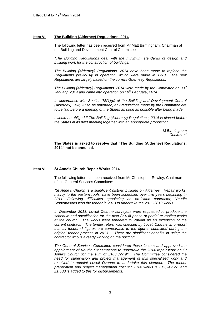# **Item VI The Building (Alderney) Regulations, 2014**

The following letter has been received from Mr Matt Birmingham, Chairman of the Building and Development Control Committee-

*"The Building Regulations deal with the minimum standards of design and building work for the construction of buildings.* 

*The Building (Alderney) Regulations, 2014 have been made to replace the Regulations previously in operation, which were made in 1978. The new Regulations are largely based on the current Guernsey Regulations.* 

*The Building (Alderney) Regulations, 2014 were made by the Committee on 30th January, 2014 and came into operation on 10th February, 2014.*

*In accordance with Section 75(1)(c) of the Building and Development Control (Alderney) Law, 2002, as amended, any regulations made by the Committee are to be laid before a meeting of the States as soon as possible after being made.* 

*I would be obliged if The Building (Alderney) Regulations, 2014 is placed before the States at its next meeting together with an appropriate proposition.*

> *M Birmingham Chairman"*

**The States is asked to resolve that "The Building (Alderney) Regulations, 2014" not be annulled.**

## **Item VII St Anne's Church Repair Works 2014**

The following letter has been received from Mr Christopher Rowley, Chairman of the General Services Committee:-

*"St Anne's Church is a significant historic building on Alderney. Repair works, mainly to the eastern roofs, have been scheduled over five years beginning in*  2011. Following difficulties appointing an on-island contractor, Vaudin *Stonemasons won the tender in 2013 to undertake the 2011-2013 works.*

*In December 2013, Lovell Ozanne surveyors were requested to produce the schedule and specification for the next (2014) phase of partial re-roofing works at the church. The works were tendered to Vaudin as an extension of the current contract. The tender return was checked by Lovell Ozanne who report that all tendered figures are comparable to the figures submitted during the original tender process in 2013. There are significant benefits in using the contractor who is already working on the building.* 

*The General Services Committee considered these factors and approved the appointment of Vaudin Stonemasons to undertake the 2014 repair work on St Anne's Church for the sum of £103,327.91. The Committee considered the need for supervision and project management of this specialised work and*  resolved to appoint Lovell Ozanne to undertake this element. The tender *preparation and project management cost for 2014 works is £13,949.27, and £1,500 is added to this for disbursements.*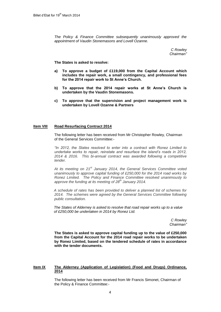*The Policy & Finance Committee subsequently unanimously approved the appointment of Vaudin Stonemasons and Lovell Ozanne.* 

> *C Rowley Chairman"*

**The States is asked to resolve:**

- **a) To approve a budget of £119,000 from the Capital Account which includes the repair work, a small contingency, and professional fees for the 2014 repair work to St Anne's Church.**
- **b) To approve that the 2014 repair works at St Anne's Church is undertaken by the Vaudin Stonemasons.**
- **c) To approve that the supervision and project management work is undertaken by Lovell Ozanne & Partners**

## **Item VIII Road Resurfacing Contract 2014**

The following letter has been received from Mr Christopher Rowley, Chairman of the General Services Committee:-

*"In 2012, the States resolved to enter into a contract with Ronez Limited to undertake works to repair, reinstate and resurface the island's roads in 2012, 2014 & 2016. This bi-annual contract was awarded following a competitive tender.* 

*At its meeting on 21st January 2014, the General Services Committee voted unanimously to approve capital funding of £250,000 for the 2014 road works by Ronez Limited. The Policy and Finance Committee resolved unanimously to approve the funding at its meeting of 28th January 2014.* 

*A schedule of rates has been provided to deliver a planned list of schemes for 2014. The schemes were agreed by the General Services Committee following public consultation.* 

*The States of Alderney is asked to resolve that road repair works up to a value of £250,000 be undertaken in 2014 by Ronez Ltd.*

> *C Rowley Chairman"*

**The States is asked to approve capital funding up to the value of £250,000 from the Capital Account for the 2014 road repair works to be undertaken by Ronez Limited, based on the tendered schedule of rates in accordance with the tender documents.** 

#### **Item IX The Alderney (Application of Legislation) (Food and Drugs) Ordinance, 2014**

The following letter has been received from Mr Francis Simonet, Chairman of the Policy & Finance Committee:-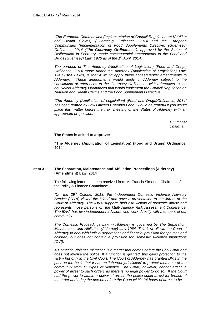*"The European Communities (Implementation of Council Regulation on Nutrition and Health Claims) (Guernsey) Ordinance, 2014 and the European Communities (Implementation of Food Supplements Directive) (Guernsey) Ordinance, 2014 ("the Guernsey Ordinances"), approved by the States of Deliberation in February, made consequential amendments to the Food and Drugs (Guernsey) Law, 1970 as of the 1st April, 2014.*

*The purpose of The Alderney (Application of Legislation) (Food and Drugs) Ordinance, 2014 made under the Alderney (Application of Legislation) Law, 1948 ("the Law"), is that it would apply these consequential amendments to Alderney. These amendments would apply in Alderney subject to the substitution of references to the Guernsey Ordinances with references to the equivalent Alderney Ordinances that would implement the Council Regulation on Nutrition and Health Claims and the Food Supplements Directive.*

*"The Alderney (Application of Legislation) (Food and Drugs)Ordinance, 2014" has been drafted by Law Officers Chambers and I would be grateful if you would place this matter before the next meeting of the States of Alderney with an appropriate proposition.*

> *F Simonet Chairman"*

**The States is asked to approve:**

**"The Alderney (Application of Legislation) (Food and Drugs) Ordinance, 2014"**

# **Item X The Separation, Maintenance and Affiliation Proceedings (Alderney) (Amendment) Law, 2014**

The following letter has been received from Mr Francis Simonet, Chairman of the Policy & Finance Committee:-

*"On the 29th October 2013, the Independent Domestic Violence Advisory Service (IDVA) visited the Island and gave a presentation to the Jurats of the Court of Alderney. The IDVA supports high risk victims of domestic abuse and represents those persons on the Multi Agency Risk Assessment Conference. The IDVA has two independent advisers who work directly with members of our community.* 

*The Domestic Proceedings Law in Alderney is governed by The Separation, Maintenance and Affiliation (Alderney) Law 1964. This Law allows the Court of Alderney to deal with judicial separations and financial provision for spouses and children, but does not contain a provision for Domestic Violence Injunctions (DVI).* 

*A Domestic Violence Injunction is a matter that comes before the Civil Court and does not involve the police. If a junction is granted, this gives protection to the victim but only in the Civil Court. The Court of Alderney has granted DVIs in the past on the basis that it has an 'inherent jurisdiction' to protect members of the community from all types of violence. The Court, however, cannot attach a power of arrest to such orders as there is no legal power to do so. If the Court*  had the power to attach a power of arrest, the police could arrest for breach of *the order and bring the person before the Court within 24 hours of arrest to be*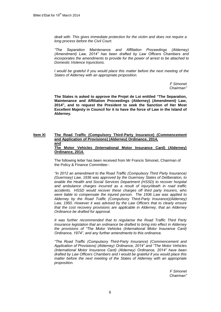*dealt with. This gives immediate protection for the victim and does not require a long process before the Civil Court.*

*"The Separation Maintenance and Affiliation Proceedings (Alderney) (Amendment) Law, 2014" has been drafted by Law Officers Chambers and incorporates the amendments to provide for the power of arrest to be attached to Domestic Violence Injunctions.*

*I* would be grateful if you would place this matter before the next meeting of the *States of Alderney with an appropriate proposition.*

> *F Simonet Chairman"*

**The States is asked to approve the Projet de Loi entitled "The Separation, Maintenance and Affiliation Proceedings (Alderney) (Amendment) Law, 2014", and to request the President to seek the Sanction of Her Most Excellent Majesty in Council for it to have the force of Law in the Island of Alderney.**

#### **Item XI The Road Traffic (Compulsory Third-Party Insurance) (Commencement and Application of Provisions) (Alderney) Ordinance, 2014, and The Motor Vehicles (International Motor Insurance Card) (Alderney) Ordinance, 2014.**

The following letter has been received from Mr Francis Simonet, Chairman of the Policy & Finance Committee:-

*"In 2012 an amendment to the Road Traffic (Compulsory Third Party Insurance) (Guernsey) Law, 1936 was approved by the Guernsey States of Deliberation, to enable the Health and Social Services Department (HSSD) to recover hospital and ambulance charges incurred as a result of injury/death in road traffic accidents. HSSD would recover these charges off third party insurers, who were liable to compensate the injured person. The 1936 Law was applied to Alderney by the Road Traffic (Compulsory Third-Party Insurance)(Alderney)*  Law, 1950. However it was advised by the Law Officers that to clearly ensure *that the cost recovery provisions are applicable in Alderney, that an Alderney Ordinance be drafted for approval.*

*It was further recommended that to regularise the Road Traffic Third Party Insurance legislation that an ordinance be drafted to bring into effect in Alderney the provisions of "The Motor Vehicles (International Motor Insurance Card) Ordinance, 1974", and any further amendments to this ordinance.*

*"The Road Traffic (Compulsory Third-Party Insurance) (Commencement and Application of Provisions) (Alderney) Ordinance, 2014" and "The Motor Vehicles (International Motor Insurance Card) (Alderney) Ordinance, 2014" have been drafted by Law Officers Chambers and I would be grateful if you would place this matter before the next meeting of the States of Alderney with an appropriate proposition.*

> *F Simonet Chairman"*